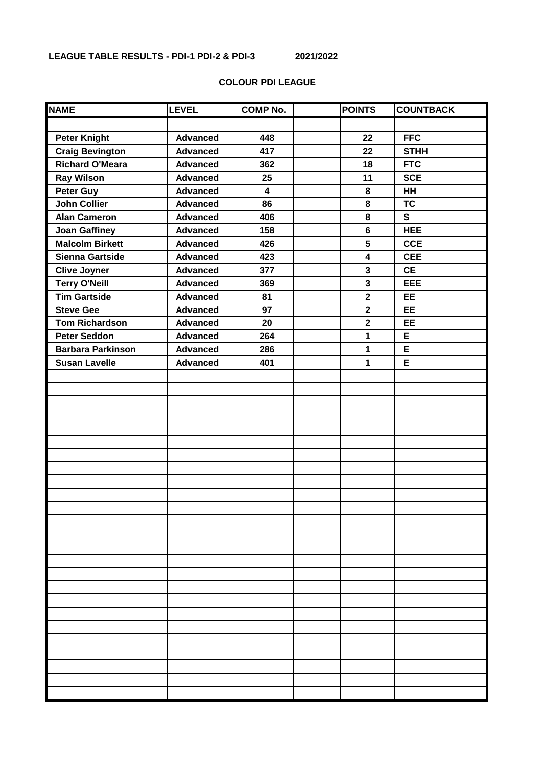# **COLOUR PDI LEAGUE**

| <b>NAME</b>              | <b>LEVEL</b>    | <b>COMP No.</b>         | <b>POINTS</b>           | <b>COUNTBACK</b> |
|--------------------------|-----------------|-------------------------|-------------------------|------------------|
|                          |                 |                         |                         |                  |
| <b>Peter Knight</b>      | <b>Advanced</b> | 448                     | 22                      | <b>FFC</b>       |
| <b>Craig Bevington</b>   | <b>Advanced</b> | 417                     | 22                      | <b>STHH</b>      |
| <b>Richard O'Meara</b>   | <b>Advanced</b> | 362                     | 18                      | <b>FTC</b>       |
| <b>Ray Wilson</b>        | <b>Advanced</b> | 25                      | 11                      | <b>SCE</b>       |
| Peter Guy                | <b>Advanced</b> | $\overline{\mathbf{4}}$ | 8                       | HH               |
| <b>John Collier</b>      | <b>Advanced</b> | 86                      | 8                       | <b>TC</b>        |
| <b>Alan Cameron</b>      | <b>Advanced</b> | 406                     | 8                       | $\mathbf{s}$     |
| <b>Joan Gaffiney</b>     | <b>Advanced</b> | 158                     | $6\phantom{a}$          | <b>HEE</b>       |
| <b>Malcolm Birkett</b>   | <b>Advanced</b> | 426                     | 5                       | <b>CCE</b>       |
| Sienna Gartside          | <b>Advanced</b> | 423                     | 4                       | <b>CEE</b>       |
| <b>Clive Joyner</b>      | <b>Advanced</b> | 377                     | 3                       | <b>CE</b>        |
| <b>Terry O'Neill</b>     | <b>Advanced</b> | 369                     | $\mathbf{3}$            | <b>EEE</b>       |
| <b>Tim Gartside</b>      | <b>Advanced</b> | 81                      | $\overline{\mathbf{2}}$ | EE               |
| <b>Steve Gee</b>         | <b>Advanced</b> | 97                      | $\mathbf{2}$            | EE               |
| <b>Tom Richardson</b>    | <b>Advanced</b> | 20                      | $\overline{\mathbf{2}}$ | <b>EE</b>        |
| <b>Peter Seddon</b>      | <b>Advanced</b> | 264                     | 1                       | E                |
| <b>Barbara Parkinson</b> | <b>Advanced</b> | 286                     | 1                       | E                |
| <b>Susan Lavelle</b>     | <b>Advanced</b> | 401                     | 1                       | E                |
|                          |                 |                         |                         |                  |
|                          |                 |                         |                         |                  |
|                          |                 |                         |                         |                  |
|                          |                 |                         |                         |                  |
|                          |                 |                         |                         |                  |
|                          |                 |                         |                         |                  |
|                          |                 |                         |                         |                  |
|                          |                 |                         |                         |                  |
|                          |                 |                         |                         |                  |
|                          |                 |                         |                         |                  |
|                          |                 |                         |                         |                  |
|                          |                 |                         |                         |                  |
|                          |                 |                         |                         |                  |
|                          |                 |                         |                         |                  |
|                          |                 |                         |                         |                  |
|                          |                 |                         |                         |                  |
|                          |                 |                         |                         |                  |
|                          |                 |                         |                         |                  |
|                          |                 |                         |                         |                  |
|                          |                 |                         |                         |                  |
|                          |                 |                         |                         |                  |
|                          |                 |                         |                         |                  |
|                          |                 |                         |                         |                  |
|                          |                 |                         |                         |                  |
|                          |                 |                         |                         |                  |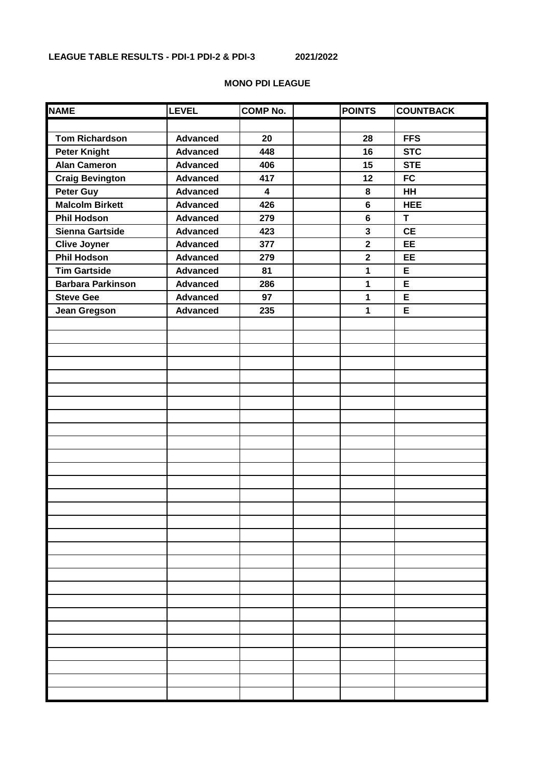| <b>NAME</b>              | <b>LEVEL</b>    | <b>COMP No.</b>         | <b>POINTS</b>  | <b>COUNTBACK</b> |
|--------------------------|-----------------|-------------------------|----------------|------------------|
|                          |                 |                         |                |                  |
| <b>Tom Richardson</b>    | <b>Advanced</b> | 20                      | 28             | <b>FFS</b>       |
| <b>Peter Knight</b>      | <b>Advanced</b> | 448                     | 16             | <b>STC</b>       |
| <b>Alan Cameron</b>      | <b>Advanced</b> | 406                     | 15             | <b>STE</b>       |
| <b>Craig Bevington</b>   | <b>Advanced</b> | 417                     | 12             | <b>FC</b>        |
| <b>Peter Guy</b>         | <b>Advanced</b> | $\overline{\mathbf{4}}$ | 8              | <b>HH</b>        |
| <b>Malcolm Birkett</b>   | <b>Advanced</b> | 426                     | $\bf 6$        | <b>HEE</b>       |
| <b>Phil Hodson</b>       | <b>Advanced</b> | 279                     | $6\phantom{a}$ | T                |
| <b>Sienna Gartside</b>   | <b>Advanced</b> | 423                     | $\mathbf{3}$   | <b>CE</b>        |
| <b>Clive Joyner</b>      | <b>Advanced</b> | 377                     | $\mathbf{2}$   | <b>EE</b>        |
| <b>Phil Hodson</b>       | <b>Advanced</b> | 279                     | $\overline{2}$ | <b>EE</b>        |
| <b>Tim Gartside</b>      | <b>Advanced</b> | 81                      | 1              | E                |
| <b>Barbara Parkinson</b> | <b>Advanced</b> | 286                     | 1              | E                |
| <b>Steve Gee</b>         | <b>Advanced</b> | 97                      | $\mathbf{1}$   | E                |
| Jean Gregson             | <b>Advanced</b> | 235                     | $\mathbf{1}$   | E                |
|                          |                 |                         |                |                  |
|                          |                 |                         |                |                  |
|                          |                 |                         |                |                  |
|                          |                 |                         |                |                  |
|                          |                 |                         |                |                  |
|                          |                 |                         |                |                  |
|                          |                 |                         |                |                  |
|                          |                 |                         |                |                  |
|                          |                 |                         |                |                  |
|                          |                 |                         |                |                  |
|                          |                 |                         |                |                  |
|                          |                 |                         |                |                  |
|                          |                 |                         |                |                  |
|                          |                 |                         |                |                  |
|                          |                 |                         |                |                  |
|                          |                 |                         |                |                  |
|                          |                 |                         |                |                  |
|                          |                 |                         |                |                  |
|                          |                 |                         |                |                  |
|                          |                 |                         |                |                  |
|                          |                 |                         |                |                  |
|                          |                 |                         |                |                  |
|                          |                 |                         |                |                  |
|                          |                 |                         |                |                  |
|                          |                 |                         |                |                  |
|                          |                 |                         |                |                  |
|                          |                 |                         |                |                  |
|                          |                 |                         |                |                  |

#### **MONO PDI LEAGUE**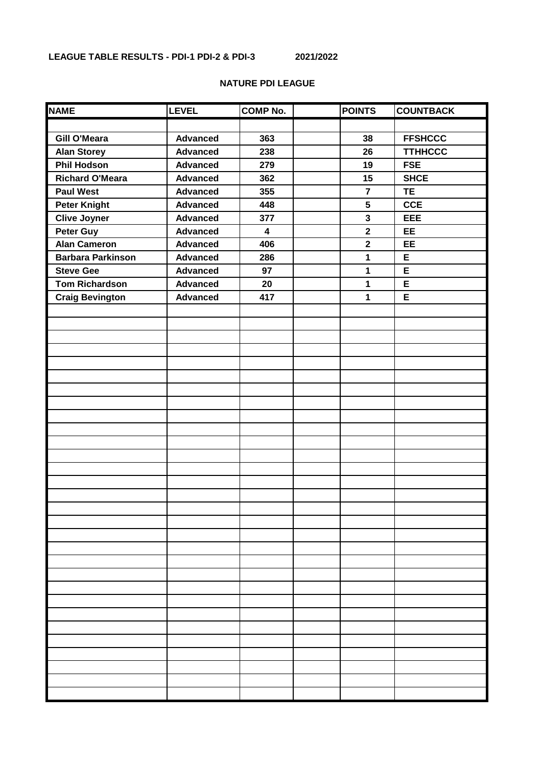## **NATURE PDI LEAGUE**

| <b>NAME</b>              | <b>LEVEL</b>    | <b>COMP No.</b>         | <b>POINTS</b>           | <b>COUNTBACK</b> |
|--------------------------|-----------------|-------------------------|-------------------------|------------------|
|                          |                 |                         |                         |                  |
| <b>Gill O'Meara</b>      | <b>Advanced</b> | 363                     | 38                      | <b>FFSHCCC</b>   |
| <b>Alan Storey</b>       | <b>Advanced</b> | 238                     | 26                      | <b>TTHHCCC</b>   |
| <b>Phil Hodson</b>       | <b>Advanced</b> | 279                     | 19                      | <b>FSE</b>       |
| <b>Richard O'Meara</b>   | <b>Advanced</b> | 362                     | 15                      | <b>SHCE</b>      |
| <b>Paul West</b>         | <b>Advanced</b> | 355                     | $\overline{7}$          | <b>TE</b>        |
| <b>Peter Knight</b>      | <b>Advanced</b> | 448                     | 5                       | <b>CCE</b>       |
| <b>Clive Joyner</b>      | <b>Advanced</b> | 377                     | 3                       | <b>EEE</b>       |
| Peter Guy                | <b>Advanced</b> | $\overline{\mathbf{4}}$ | $\overline{\mathbf{2}}$ | EE               |
| <b>Alan Cameron</b>      | <b>Advanced</b> | 406                     | $\overline{\mathbf{2}}$ | <b>EE</b>        |
| <b>Barbara Parkinson</b> | <b>Advanced</b> | 286                     | 1                       | E                |
| <b>Steve Gee</b>         | <b>Advanced</b> | 97                      | 1                       | E                |
| <b>Tom Richardson</b>    | <b>Advanced</b> | 20                      | 1                       | E                |
| <b>Craig Bevington</b>   | <b>Advanced</b> | 417                     | 1                       | E                |
|                          |                 |                         |                         |                  |
|                          |                 |                         |                         |                  |
|                          |                 |                         |                         |                  |
|                          |                 |                         |                         |                  |
|                          |                 |                         |                         |                  |
|                          |                 |                         |                         |                  |
|                          |                 |                         |                         |                  |
|                          |                 |                         |                         |                  |
|                          |                 |                         |                         |                  |
|                          |                 |                         |                         |                  |
|                          |                 |                         |                         |                  |
|                          |                 |                         |                         |                  |
|                          |                 |                         |                         |                  |
|                          |                 |                         |                         |                  |
|                          |                 |                         |                         |                  |
|                          |                 |                         |                         |                  |
|                          |                 |                         |                         |                  |
|                          |                 |                         |                         |                  |
|                          |                 |                         |                         |                  |
|                          |                 |                         |                         |                  |
|                          |                 |                         |                         |                  |
|                          |                 |                         |                         |                  |
|                          |                 |                         |                         |                  |
|                          |                 |                         |                         |                  |
|                          |                 |                         |                         |                  |
|                          |                 |                         |                         |                  |
|                          |                 |                         |                         |                  |
|                          |                 |                         |                         |                  |
|                          |                 |                         |                         |                  |
|                          |                 |                         |                         |                  |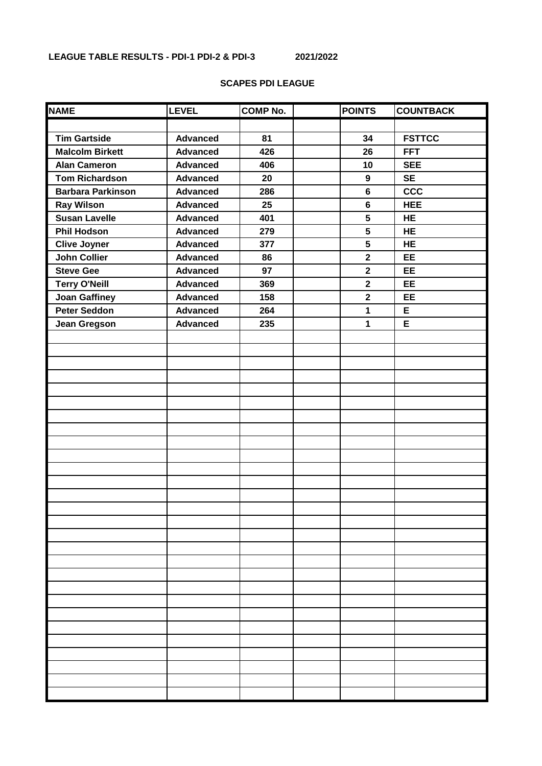## **SCAPES PDI LEAGUE**

| <b>NAME</b>              | <b>LEVEL</b>    | <b>COMP No.</b> | <b>POINTS</b>           | <b>COUNTBACK</b> |
|--------------------------|-----------------|-----------------|-------------------------|------------------|
|                          |                 |                 |                         |                  |
| <b>Tim Gartside</b>      | <b>Advanced</b> | 81              | 34                      | <b>FSTTCC</b>    |
| <b>Malcolm Birkett</b>   | <b>Advanced</b> | 426             | 26                      | <b>FFT</b>       |
| <b>Alan Cameron</b>      | <b>Advanced</b> | 406             | 10                      | <b>SEE</b>       |
| <b>Tom Richardson</b>    | <b>Advanced</b> | 20              | $\boldsymbol{9}$        | <b>SE</b>        |
| <b>Barbara Parkinson</b> | <b>Advanced</b> | 286             | $6\phantom{a}$          | <b>CCC</b>       |
| <b>Ray Wilson</b>        | <b>Advanced</b> | 25              | $6\phantom{a}$          | <b>HEE</b>       |
| <b>Susan Lavelle</b>     | <b>Advanced</b> | 401             | 5                       | <b>HE</b>        |
| <b>Phil Hodson</b>       | <b>Advanced</b> | 279             | 5                       | <b>HE</b>        |
| <b>Clive Joyner</b>      | <b>Advanced</b> | 377             | 5                       | <b>HE</b>        |
| <b>John Collier</b>      | <b>Advanced</b> | 86              | $\overline{2}$          | EE               |
| <b>Steve Gee</b>         | <b>Advanced</b> | 97              | $\overline{\mathbf{2}}$ | EE               |
| <b>Terry O'Neill</b>     | <b>Advanced</b> | 369             | $\mathbf{2}$            | EE               |
| <b>Joan Gaffiney</b>     | <b>Advanced</b> | 158             | $\overline{\mathbf{2}}$ | EE               |
| <b>Peter Seddon</b>      | <b>Advanced</b> | 264             | 1                       | E                |
| <b>Jean Gregson</b>      | <b>Advanced</b> | 235             | 1                       | E                |
|                          |                 |                 |                         |                  |
|                          |                 |                 |                         |                  |
|                          |                 |                 |                         |                  |
|                          |                 |                 |                         |                  |
|                          |                 |                 |                         |                  |
|                          |                 |                 |                         |                  |
|                          |                 |                 |                         |                  |
|                          |                 |                 |                         |                  |
|                          |                 |                 |                         |                  |
|                          |                 |                 |                         |                  |
|                          |                 |                 |                         |                  |
|                          |                 |                 |                         |                  |
|                          |                 |                 |                         |                  |
|                          |                 |                 |                         |                  |
|                          |                 |                 |                         |                  |
|                          |                 |                 |                         |                  |
|                          |                 |                 |                         |                  |
|                          |                 |                 |                         |                  |
|                          |                 |                 |                         |                  |
|                          |                 |                 |                         |                  |
|                          |                 |                 |                         |                  |
|                          |                 |                 |                         |                  |
|                          |                 |                 |                         |                  |
|                          |                 |                 |                         |                  |
|                          |                 |                 |                         |                  |
|                          |                 |                 |                         |                  |
|                          |                 |                 |                         |                  |
|                          |                 |                 |                         |                  |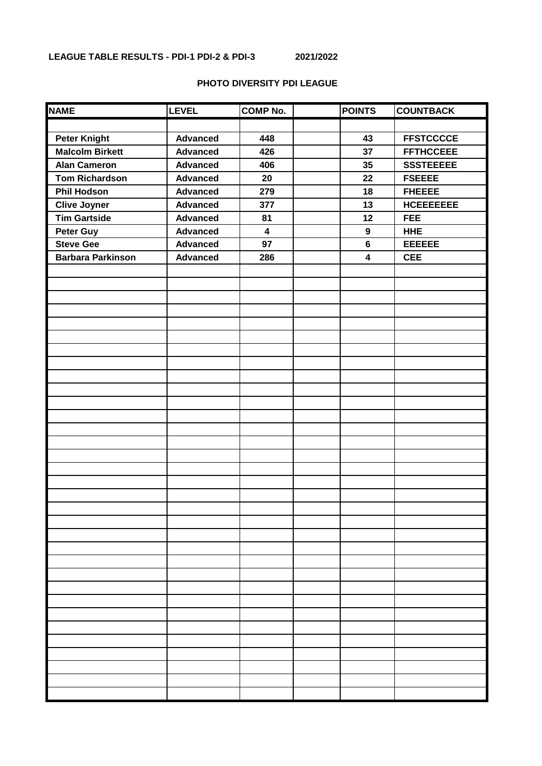### **PHOTO DIVERSITY PDI LEAGUE**

| <b>NAME</b>              | <b>LEVEL</b>    | <b>COMP No.</b>         | <b>POINTS</b>           | <b>COUNTBACK</b> |
|--------------------------|-----------------|-------------------------|-------------------------|------------------|
|                          |                 |                         |                         |                  |
| <b>Peter Knight</b>      | <b>Advanced</b> | 448                     | 43                      | <b>FFSTCCCCE</b> |
| <b>Malcolm Birkett</b>   | <b>Advanced</b> | 426                     | 37                      | <b>FFTHCCEEE</b> |
| <b>Alan Cameron</b>      | <b>Advanced</b> | 406                     | 35                      | <b>SSSTEEEEE</b> |
| <b>Tom Richardson</b>    | <b>Advanced</b> | 20                      | 22                      | <b>FSEEEE</b>    |
| <b>Phil Hodson</b>       | <b>Advanced</b> | 279                     | 18                      | <b>FHEEEE</b>    |
| <b>Clive Joyner</b>      | <b>Advanced</b> | 377                     | 13                      | <b>HCEEEEEEE</b> |
| <b>Tim Gartside</b>      | <b>Advanced</b> | 81                      | 12                      | <b>FEE</b>       |
| <b>Peter Guy</b>         | <b>Advanced</b> | $\overline{\mathbf{4}}$ | $\boldsymbol{9}$        | <b>HHE</b>       |
| <b>Steve Gee</b>         | <b>Advanced</b> | 97                      | $6\phantom{a}$          | <b>EEEEEE</b>    |
| <b>Barbara Parkinson</b> | <b>Advanced</b> | 286                     | $\overline{\mathbf{4}}$ | <b>CEE</b>       |
|                          |                 |                         |                         |                  |
|                          |                 |                         |                         |                  |
|                          |                 |                         |                         |                  |
|                          |                 |                         |                         |                  |
|                          |                 |                         |                         |                  |
|                          |                 |                         |                         |                  |
|                          |                 |                         |                         |                  |
|                          |                 |                         |                         |                  |
|                          |                 |                         |                         |                  |
|                          |                 |                         |                         |                  |
|                          |                 |                         |                         |                  |
|                          |                 |                         |                         |                  |
|                          |                 |                         |                         |                  |
|                          |                 |                         |                         |                  |
|                          |                 |                         |                         |                  |
|                          |                 |                         |                         |                  |
|                          |                 |                         |                         |                  |
|                          |                 |                         |                         |                  |
|                          |                 |                         |                         |                  |
|                          |                 |                         |                         |                  |
|                          |                 |                         |                         |                  |
|                          |                 |                         |                         |                  |
|                          |                 |                         |                         |                  |
|                          |                 |                         |                         |                  |
|                          |                 |                         |                         |                  |
|                          |                 |                         |                         |                  |
|                          |                 |                         |                         |                  |
|                          |                 |                         |                         |                  |
|                          |                 |                         |                         |                  |
|                          |                 |                         |                         |                  |
|                          |                 |                         |                         |                  |
|                          |                 |                         |                         |                  |
|                          |                 |                         |                         |                  |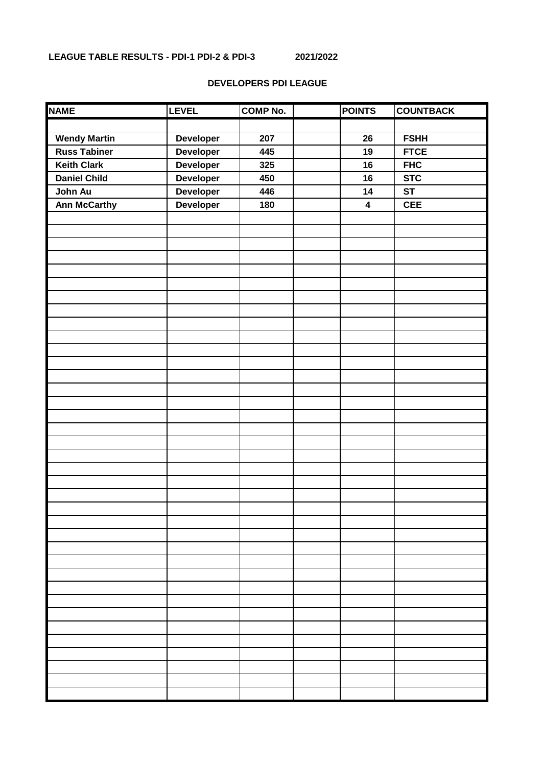# **DEVELOPERS PDI LEAGUE**

| <b>NAME</b>         | <b>LEVEL</b>     | <b>COMP No.</b> | <b>POINTS</b>           | <b>COUNTBACK</b> |
|---------------------|------------------|-----------------|-------------------------|------------------|
|                     |                  |                 |                         |                  |
| <b>Wendy Martin</b> | <b>Developer</b> | 207             | 26                      | <b>FSHH</b>      |
| <b>Russ Tabiner</b> | <b>Developer</b> | 445             | 19                      | <b>FTCE</b>      |
| <b>Keith Clark</b>  | Developer        | 325             | 16                      | <b>FHC</b>       |
| <b>Daniel Child</b> | Developer        | 450             | 16                      | <b>STC</b>       |
| John Au             | Developer        | 446             | 14                      | <b>ST</b>        |
| <b>Ann McCarthy</b> | Developer        | 180             | $\overline{\mathbf{4}}$ | <b>CEE</b>       |
|                     |                  |                 |                         |                  |
|                     |                  |                 |                         |                  |
|                     |                  |                 |                         |                  |
|                     |                  |                 |                         |                  |
|                     |                  |                 |                         |                  |
|                     |                  |                 |                         |                  |
|                     |                  |                 |                         |                  |
|                     |                  |                 |                         |                  |
|                     |                  |                 |                         |                  |
|                     |                  |                 |                         |                  |
|                     |                  |                 |                         |                  |
|                     |                  |                 |                         |                  |
|                     |                  |                 |                         |                  |
|                     |                  |                 |                         |                  |
|                     |                  |                 |                         |                  |
|                     |                  |                 |                         |                  |
|                     |                  |                 |                         |                  |
|                     |                  |                 |                         |                  |
|                     |                  |                 |                         |                  |
|                     |                  |                 |                         |                  |
|                     |                  |                 |                         |                  |
|                     |                  |                 |                         |                  |
|                     |                  |                 |                         |                  |
|                     |                  |                 |                         |                  |
|                     |                  |                 |                         |                  |
|                     |                  |                 |                         |                  |
|                     |                  |                 |                         |                  |
|                     |                  |                 |                         |                  |
|                     |                  |                 |                         |                  |
|                     |                  |                 |                         |                  |
|                     |                  |                 |                         |                  |
|                     |                  |                 |                         |                  |
|                     |                  |                 |                         |                  |
|                     |                  |                 |                         |                  |
|                     |                  |                 |                         |                  |
|                     |                  |                 |                         |                  |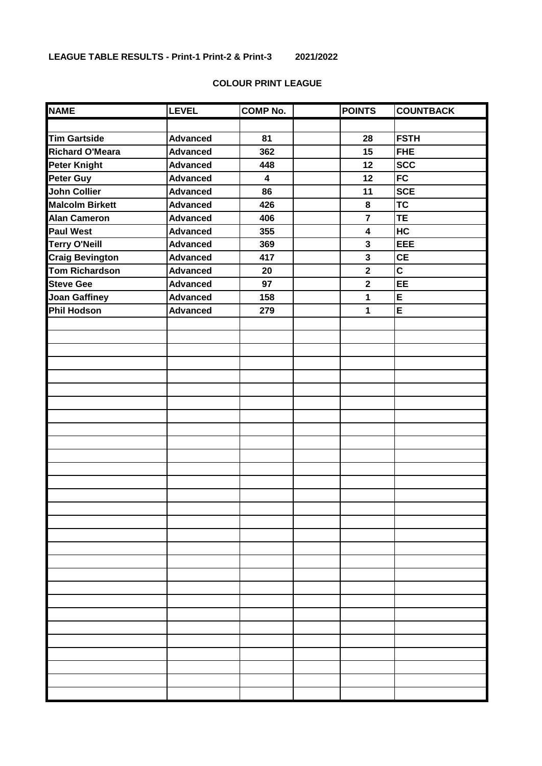# **COLOUR PRINT LEAGUE**

| <b>NAME</b>            | <b>LEVEL</b>    | <b>COMP No.</b>         | <b>POINTS</b>           | <b>COUNTBACK</b>        |
|------------------------|-----------------|-------------------------|-------------------------|-------------------------|
|                        |                 |                         |                         |                         |
| <b>Tim Gartside</b>    | <b>Advanced</b> | 81                      | 28                      | <b>FSTH</b>             |
| <b>Richard O'Meara</b> | <b>Advanced</b> | 362                     | 15                      | <b>FHE</b>              |
| <b>Peter Knight</b>    | <b>Advanced</b> | 448                     | 12                      | <b>SCC</b>              |
| <b>Peter Guy</b>       | <b>Advanced</b> | $\overline{\mathbf{4}}$ | 12                      | <b>FC</b>               |
| <b>John Collier</b>    | <b>Advanced</b> | 86                      | 11                      | <b>SCE</b>              |
| <b>Malcolm Birkett</b> | <b>Advanced</b> | 426                     | 8                       | <b>TC</b>               |
| <b>Alan Cameron</b>    | <b>Advanced</b> | 406                     | $\overline{7}$          | TE                      |
| <b>Paul West</b>       | <b>Advanced</b> | 355                     | $\overline{\mathbf{4}}$ | HC                      |
| <b>Terry O'Neill</b>   | <b>Advanced</b> | 369                     | $\overline{\mathbf{3}}$ | EEE                     |
| <b>Craig Bevington</b> | <b>Advanced</b> | 417                     | $\mathbf{3}$            | <b>CE</b>               |
| <b>Tom Richardson</b>  | <b>Advanced</b> | 20                      | $\mathbf{2}$            | $\overline{\mathsf{c}}$ |
| <b>Steve Gee</b>       | <b>Advanced</b> | 97                      | $\overline{\mathbf{2}}$ | EE                      |
| <b>Joan Gaffiney</b>   | <b>Advanced</b> | 158                     | 1                       | E                       |
| <b>Phil Hodson</b>     | <b>Advanced</b> | 279                     | $\overline{\mathbf{1}}$ | $\overline{E}$          |
|                        |                 |                         |                         |                         |
|                        |                 |                         |                         |                         |
|                        |                 |                         |                         |                         |
|                        |                 |                         |                         |                         |
|                        |                 |                         |                         |                         |
|                        |                 |                         |                         |                         |
|                        |                 |                         |                         |                         |
|                        |                 |                         |                         |                         |
|                        |                 |                         |                         |                         |
|                        |                 |                         |                         |                         |
|                        |                 |                         |                         |                         |
|                        |                 |                         |                         |                         |
|                        |                 |                         |                         |                         |
|                        |                 |                         |                         |                         |
|                        |                 |                         |                         |                         |
|                        |                 |                         |                         |                         |
|                        |                 |                         |                         |                         |
|                        |                 |                         |                         |                         |
|                        |                 |                         |                         |                         |
|                        |                 |                         |                         |                         |
|                        |                 |                         |                         |                         |
|                        |                 |                         |                         |                         |
|                        |                 |                         |                         |                         |
|                        |                 |                         |                         |                         |
|                        |                 |                         |                         |                         |
|                        |                 |                         |                         |                         |
|                        |                 |                         |                         |                         |
|                        |                 |                         |                         |                         |
|                        |                 |                         |                         |                         |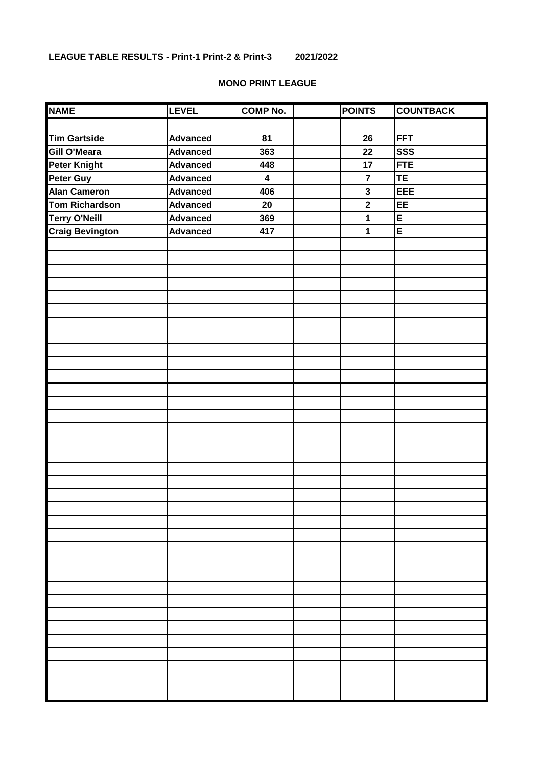## **MONO PRINT LEAGUE**

| <b>NAME</b>            | <b>LEVEL</b>    | <b>COMP No.</b>         | <b>POINTS</b>           | <b>COUNTBACK</b> |
|------------------------|-----------------|-------------------------|-------------------------|------------------|
|                        |                 |                         |                         |                  |
| <b>Tim Gartside</b>    | <b>Advanced</b> | 81                      | 26                      | <b>FFT</b>       |
| <b>Gill O'Meara</b>    | <b>Advanced</b> | 363                     | 22                      | <b>SSS</b>       |
| <b>Peter Knight</b>    | <b>Advanced</b> | 448                     | 17                      | <b>FTE</b>       |
| Peter Guy              | <b>Advanced</b> | $\overline{\mathbf{4}}$ | $\overline{7}$          | <b>TE</b>        |
| <b>Alan Cameron</b>    | <b>Advanced</b> | 406                     | $\mathbf{3}$            | <b>EEE</b>       |
| <b>Tom Richardson</b>  | <b>Advanced</b> | 20                      | $\overline{\mathbf{2}}$ | EE               |
| <b>Terry O'Neill</b>   | <b>Advanced</b> | 369                     | 1                       | E                |
| <b>Craig Bevington</b> | <b>Advanced</b> | 417                     | 1                       | E                |
|                        |                 |                         |                         |                  |
|                        |                 |                         |                         |                  |
|                        |                 |                         |                         |                  |
|                        |                 |                         |                         |                  |
|                        |                 |                         |                         |                  |
|                        |                 |                         |                         |                  |
|                        |                 |                         |                         |                  |
|                        |                 |                         |                         |                  |
|                        |                 |                         |                         |                  |
|                        |                 |                         |                         |                  |
|                        |                 |                         |                         |                  |
|                        |                 |                         |                         |                  |
|                        |                 |                         |                         |                  |
|                        |                 |                         |                         |                  |
|                        |                 |                         |                         |                  |
|                        |                 |                         |                         |                  |
|                        |                 |                         |                         |                  |
|                        |                 |                         |                         |                  |
|                        |                 |                         |                         |                  |
|                        |                 |                         |                         |                  |
|                        |                 |                         |                         |                  |
|                        |                 |                         |                         |                  |
|                        |                 |                         |                         |                  |
|                        |                 |                         |                         |                  |
|                        |                 |                         |                         |                  |
|                        |                 |                         |                         |                  |
|                        |                 |                         |                         |                  |
|                        |                 |                         |                         |                  |
|                        |                 |                         |                         |                  |
|                        |                 |                         |                         |                  |
|                        |                 |                         |                         |                  |
|                        |                 |                         |                         |                  |
|                        |                 |                         |                         |                  |
|                        |                 |                         |                         |                  |
|                        |                 |                         |                         |                  |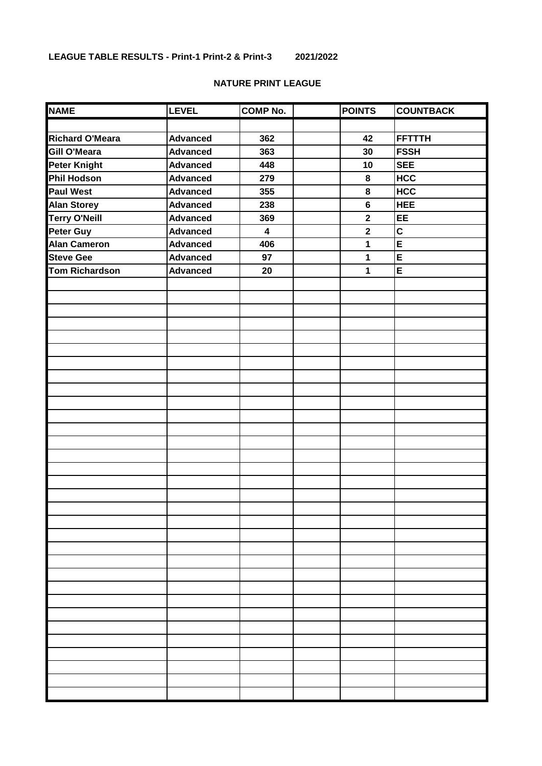## **NATURE PRINT LEAGUE**

| <b>NAME</b>            | <b>LEVEL</b>    | <b>COMP No.</b>         | <b>POINTS</b>  | <b>COUNTBACK</b> |
|------------------------|-----------------|-------------------------|----------------|------------------|
|                        |                 |                         |                |                  |
| <b>Richard O'Meara</b> | <b>Advanced</b> | 362                     | 42             | <b>FFTTTH</b>    |
| Gill O'Meara           | <b>Advanced</b> | 363                     | 30             | <b>FSSH</b>      |
| <b>Peter Knight</b>    | <b>Advanced</b> | 448                     | 10             | <b>SEE</b>       |
| <b>Phil Hodson</b>     | <b>Advanced</b> | 279                     | 8              | <b>HCC</b>       |
| <b>Paul West</b>       | <b>Advanced</b> | 355                     | 8              | <b>HCC</b>       |
| <b>Alan Storey</b>     | <b>Advanced</b> | 238                     | $6\phantom{a}$ | <b>HEE</b>       |
| <b>Terry O'Neill</b>   | <b>Advanced</b> | 369                     | $\mathbf{2}$   | EE               |
| Peter Guy              | <b>Advanced</b> | $\overline{\mathbf{4}}$ | $\mathbf 2$    | C                |
| <b>Alan Cameron</b>    | <b>Advanced</b> | 406                     | 1              | E                |
| <b>Steve Gee</b>       | <b>Advanced</b> | 97                      | 1              | E                |
| <b>Tom Richardson</b>  | <b>Advanced</b> | 20                      | 1              | E                |
|                        |                 |                         |                |                  |
|                        |                 |                         |                |                  |
|                        |                 |                         |                |                  |
|                        |                 |                         |                |                  |
|                        |                 |                         |                |                  |
|                        |                 |                         |                |                  |
|                        |                 |                         |                |                  |
|                        |                 |                         |                |                  |
|                        |                 |                         |                |                  |
|                        |                 |                         |                |                  |
|                        |                 |                         |                |                  |
|                        |                 |                         |                |                  |
|                        |                 |                         |                |                  |
|                        |                 |                         |                |                  |
|                        |                 |                         |                |                  |
|                        |                 |                         |                |                  |
|                        |                 |                         |                |                  |
|                        |                 |                         |                |                  |
|                        |                 |                         |                |                  |
|                        |                 |                         |                |                  |
|                        |                 |                         |                |                  |
|                        |                 |                         |                |                  |
|                        |                 |                         |                |                  |
|                        |                 |                         |                |                  |
|                        |                 |                         |                |                  |
|                        |                 |                         |                |                  |
|                        |                 |                         |                |                  |
|                        |                 |                         |                |                  |
|                        |                 |                         |                |                  |
|                        |                 |                         |                |                  |
|                        |                 |                         |                |                  |
|                        |                 |                         |                |                  |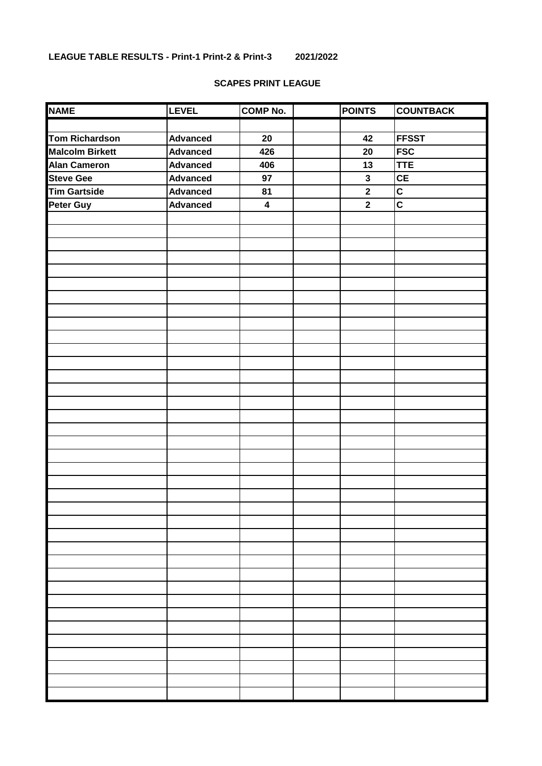### **SCAPES PRINT LEAGUE**

| <b>NAME</b>            | <b>LEVEL</b>    | <b>COMP No.</b>         | <b>POINTS</b> | <b>COUNTBACK</b> |
|------------------------|-----------------|-------------------------|---------------|------------------|
|                        |                 |                         |               |                  |
| <b>Tom Richardson</b>  | <b>Advanced</b> | 20                      | 42            | <b>FFSST</b>     |
| <b>Malcolm Birkett</b> | <b>Advanced</b> | 426                     | 20            | <b>FSC</b>       |
| <b>Alan Cameron</b>    | <b>Advanced</b> | 406                     | 13            | <b>TTE</b>       |
| <b>Steve Gee</b>       | <b>Advanced</b> | 97                      | $\mathbf{3}$  | CE               |
| <b>Tim Gartside</b>    | <b>Advanced</b> | 81                      | $\mathbf{2}$  | C                |
| <b>Peter Guy</b>       | <b>Advanced</b> | $\overline{\mathbf{4}}$ | $\mathbf{2}$  | C                |
|                        |                 |                         |               |                  |
|                        |                 |                         |               |                  |
|                        |                 |                         |               |                  |
|                        |                 |                         |               |                  |
|                        |                 |                         |               |                  |
|                        |                 |                         |               |                  |
|                        |                 |                         |               |                  |
|                        |                 |                         |               |                  |
|                        |                 |                         |               |                  |
|                        |                 |                         |               |                  |
|                        |                 |                         |               |                  |
|                        |                 |                         |               |                  |
|                        |                 |                         |               |                  |
|                        |                 |                         |               |                  |
|                        |                 |                         |               |                  |
|                        |                 |                         |               |                  |
|                        |                 |                         |               |                  |
|                        |                 |                         |               |                  |
|                        |                 |                         |               |                  |
|                        |                 |                         |               |                  |
|                        |                 |                         |               |                  |
|                        |                 |                         |               |                  |
|                        |                 |                         |               |                  |
|                        |                 |                         |               |                  |
|                        |                 |                         |               |                  |
|                        |                 |                         |               |                  |
|                        |                 |                         |               |                  |
|                        |                 |                         |               |                  |
|                        |                 |                         |               |                  |
|                        |                 |                         |               |                  |
|                        |                 |                         |               |                  |
|                        |                 |                         |               |                  |
|                        |                 |                         |               |                  |
|                        |                 |                         |               |                  |
|                        |                 |                         |               |                  |
|                        |                 |                         |               |                  |
|                        |                 |                         |               |                  |
|                        |                 |                         |               |                  |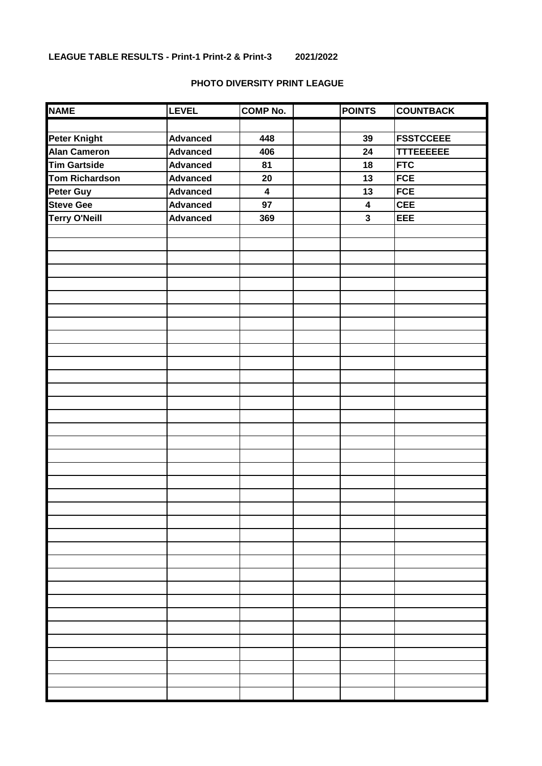#### **PHOTO DIVERSITY PRINT LEAGUE**

| <b>NAME</b>          | <b>LEVEL</b>    | <b>COMP No.</b>         | <b>POINTS</b>           | <b>COUNTBACK</b> |
|----------------------|-----------------|-------------------------|-------------------------|------------------|
|                      |                 |                         |                         |                  |
| <b>Peter Knight</b>  | <b>Advanced</b> | 448                     | 39                      | <b>FSSTCCEEE</b> |
| <b>Alan Cameron</b>  | <b>Advanced</b> | 406                     | 24                      | <b>TTTEEEEEE</b> |
| <b>Tim Gartside</b>  | <b>Advanced</b> | 81                      | 18                      | <b>FTC</b>       |
| Tom Richardson       | <b>Advanced</b> | 20                      | 13                      | <b>FCE</b>       |
| <b>Peter Guy</b>     | <b>Advanced</b> | $\overline{\mathbf{4}}$ | 13                      | <b>FCE</b>       |
| <b>Steve Gee</b>     | <b>Advanced</b> | 97                      | $\boldsymbol{4}$        | <b>CEE</b>       |
| <b>Terry O'Neill</b> | <b>Advanced</b> | 369                     | $\overline{\mathbf{3}}$ | EEE              |
|                      |                 |                         |                         |                  |
|                      |                 |                         |                         |                  |
|                      |                 |                         |                         |                  |
|                      |                 |                         |                         |                  |
|                      |                 |                         |                         |                  |
|                      |                 |                         |                         |                  |
|                      |                 |                         |                         |                  |
|                      |                 |                         |                         |                  |
|                      |                 |                         |                         |                  |
|                      |                 |                         |                         |                  |
|                      |                 |                         |                         |                  |
|                      |                 |                         |                         |                  |
|                      |                 |                         |                         |                  |
|                      |                 |                         |                         |                  |
|                      |                 |                         |                         |                  |
|                      |                 |                         |                         |                  |
|                      |                 |                         |                         |                  |
|                      |                 |                         |                         |                  |
|                      |                 |                         |                         |                  |
|                      |                 |                         |                         |                  |
|                      |                 |                         |                         |                  |
|                      |                 |                         |                         |                  |
|                      |                 |                         |                         |                  |
|                      |                 |                         |                         |                  |
|                      |                 |                         |                         |                  |
|                      |                 |                         |                         |                  |
|                      |                 |                         |                         |                  |
|                      |                 |                         |                         |                  |
|                      |                 |                         |                         |                  |
|                      |                 |                         |                         |                  |
|                      |                 |                         |                         |                  |
|                      |                 |                         |                         |                  |
|                      |                 |                         |                         |                  |
|                      |                 |                         |                         |                  |
|                      |                 |                         |                         |                  |
|                      |                 |                         |                         |                  |